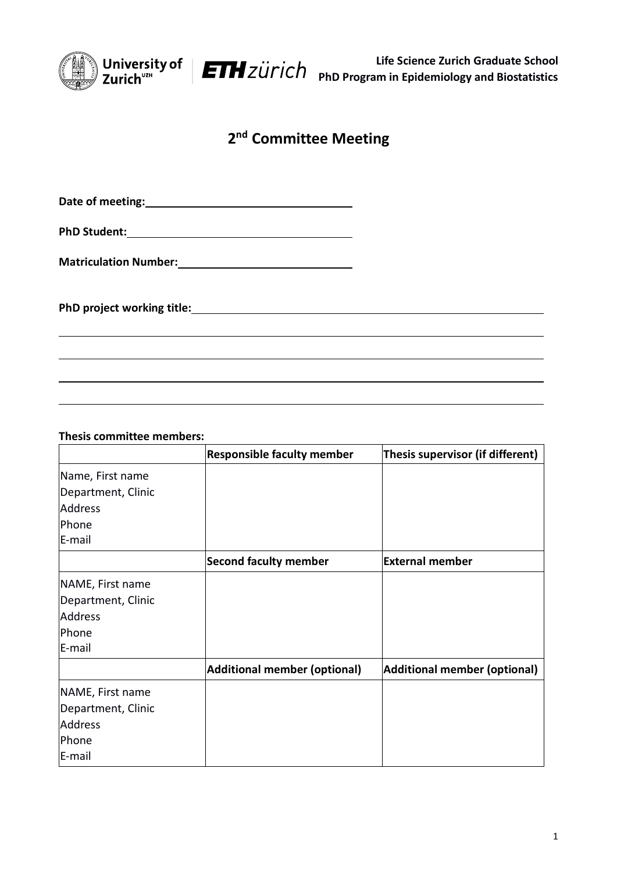

**Life Science Zurich Graduate School PhD Program in Epidemiology and Biostatistics**

## **2 nd Committee Meeting**

**Date of meeting:**

**PhD Student:**

**Matriculation Number:**

**PhD project working title:**

**Thesis committee members:**

|                    | <b>Responsible faculty member</b> | Thesis supervisor (if different)    |
|--------------------|-----------------------------------|-------------------------------------|
| Name, First name   |                                   |                                     |
| Department, Clinic |                                   |                                     |
| Address            |                                   |                                     |
| Phone              |                                   |                                     |
| E-mail             |                                   |                                     |
|                    | <b>Second faculty member</b>      | <b>External member</b>              |
| NAME, First name   |                                   |                                     |
| Department, Clinic |                                   |                                     |
| <b>Address</b>     |                                   |                                     |
| Phone              |                                   |                                     |
| E-mail             |                                   |                                     |
|                    | Additional member (optional)      | <b>Additional member (optional)</b> |
| NAME, First name   |                                   |                                     |
| Department, Clinic |                                   |                                     |
| Address            |                                   |                                     |
| Phone              |                                   |                                     |
| E-mail             |                                   |                                     |